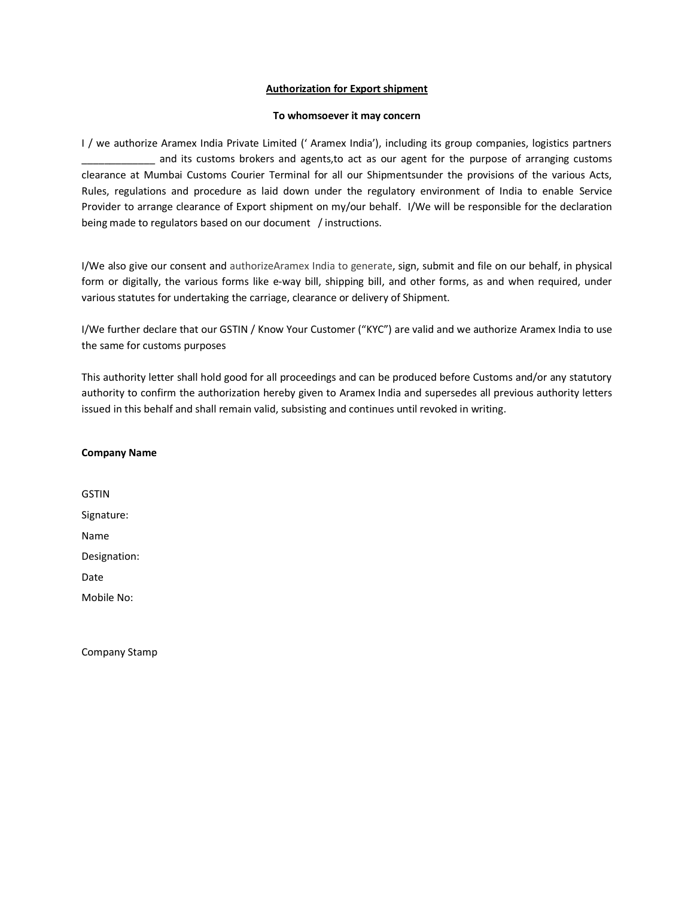# **Authorization for Export shipment**

## **To whomsoever it may concern**

I / we authorize Aramex India Private Limited (' Aramex India'), including its group companies, logistics partners and its customs brokers and agents,to act as our agent for the purpose of arranging customs clearance at Mumbai Customs Courier Terminal for all our Shipmentsunder the provisions of the various Acts, Rules, regulations and procedure as laid down under the regulatory environment of India to enable Service Provider to arrange clearance of Export shipment on my/our behalf. I/We will be responsible for the declaration being made to regulators based on our document / instructions.

I/We also give our consent and authorizeAramex India to generate, sign, submit and file on our behalf, in physical form or digitally, the various forms like e-way bill, shipping bill, and other forms, as and when required, under various statutes for undertaking the carriage, clearance or delivery of Shipment.

I/We further declare that our GSTIN / Know Your Customer ("KYC") are valid and we authorize Aramex India to use the same for customs purposes

This authority letter shall hold good for all proceedings and can be produced before Customs and/or any statutory authority to confirm the authorization hereby given to Aramex India and supersedes all previous authority letters issued in this behalf and shall remain valid, subsisting and continues until revoked in writing.

| <b>Company Name</b> |  |
|---------------------|--|
|---------------------|--|

GSTIN Signature: Name Designation: Date Mobile No:

Company Stamp